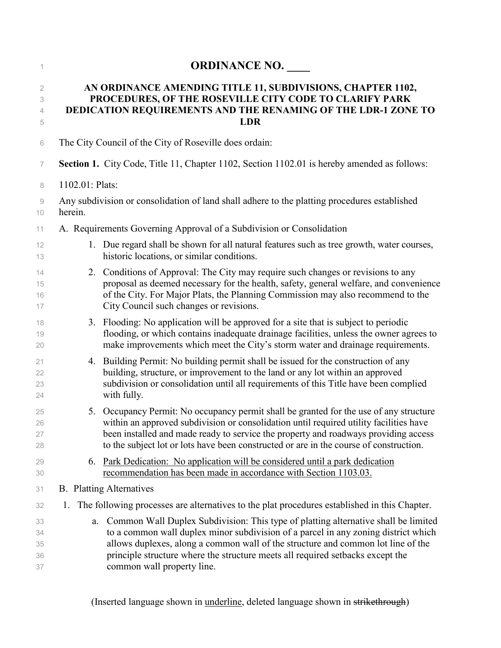| 1                          | <b>ORDINANCE NO.</b>                                                                                                                                                                                                                                                                                                                                                               |
|----------------------------|------------------------------------------------------------------------------------------------------------------------------------------------------------------------------------------------------------------------------------------------------------------------------------------------------------------------------------------------------------------------------------|
| 2<br>3<br>4<br>5           | AN ORDINANCE AMENDING TITLE 11, SUBDIVISIONS, CHAPTER 1102,<br>PROCEDURES, OF THE ROSEVILLE CITY CODE TO CLARIFY PARK<br>DEDICATION REQUIREMENTS AND THE RENAMING OF THE LDR-1 ZONE TO<br><b>LDR</b>                                                                                                                                                                               |
| 6                          | The City Council of the City of Roseville does ordain:                                                                                                                                                                                                                                                                                                                             |
| $\overline{7}$             | <b>Section 1.</b> City Code, Title 11, Chapter 1102, Section 1102.01 is hereby amended as follows:                                                                                                                                                                                                                                                                                 |
| 8                          | 1102.01: Plats:                                                                                                                                                                                                                                                                                                                                                                    |
| 9<br>10                    | Any subdivision or consolidation of land shall adhere to the platting procedures established<br>herein.                                                                                                                                                                                                                                                                            |
| 11                         | A. Requirements Governing Approval of a Subdivision or Consolidation                                                                                                                                                                                                                                                                                                               |
| 12<br>13                   | 1. Due regard shall be shown for all natural features such as tree growth, water courses,<br>historic locations, or similar conditions.                                                                                                                                                                                                                                            |
| 14<br>15<br>16<br>17       | 2. Conditions of Approval: The City may require such changes or revisions to any<br>proposal as deemed necessary for the health, safety, general welfare, and convenience<br>of the City. For Major Plats, the Planning Commission may also recommend to the<br>City Council such changes or revisions.                                                                            |
| 18<br>19<br>20             | 3. Flooding: No application will be approved for a site that is subject to periodic<br>flooding, or which contains inadequate drainage facilities, unless the owner agrees to<br>make improvements which meet the City's storm water and drainage requirements.                                                                                                                    |
| 21<br>22<br>23<br>24       | 4. Building Permit: No building permit shall be issued for the construction of any<br>building, structure, or improvement to the land or any lot within an approved<br>subdivision or consolidation until all requirements of this Title have been complied<br>with fully.                                                                                                         |
| 25<br>26<br>27<br>28       | Occupancy Permit: No occupancy permit shall be granted for the use of any structure<br>5.<br>within an approved subdivision or consolidation until required utility facilities have<br>been installed and made ready to service the property and roadways providing access<br>to the subject lot or lots have been constructed or are in the course of construction.               |
| 29<br>30                   | Park Dedication: No application will be considered until a park dedication<br>6.<br>recommendation has been made in accordance with Section 1103.03.                                                                                                                                                                                                                               |
| 31                         | <b>B.</b> Platting Alternatives                                                                                                                                                                                                                                                                                                                                                    |
| 32                         | The following processes are alternatives to the plat procedures established in this Chapter.<br>1.                                                                                                                                                                                                                                                                                 |
| 33<br>34<br>35<br>36<br>37 | Common Wall Duplex Subdivision: This type of platting alternative shall be limited<br>a.<br>to a common wall duplex minor subdivision of a parcel in any zoning district which<br>allows duplexes, along a common wall of the structure and common lot line of the<br>principle structure where the structure meets all required setbacks except the<br>common wall property line. |

(Inserted language shown in **underline**, deleted language shown in strikethrough)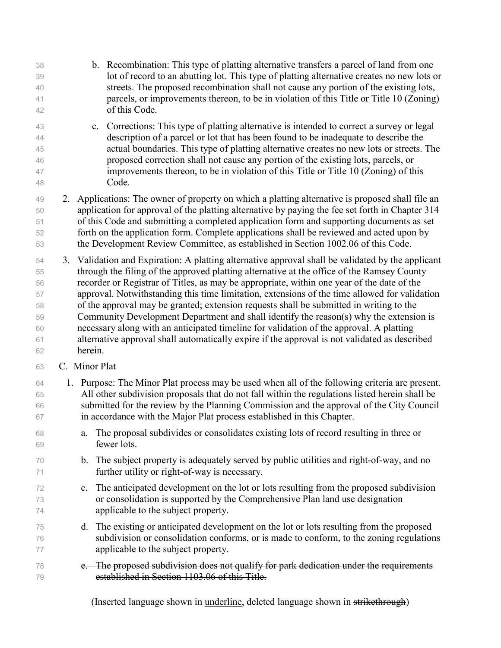b. Recombination: This type of platting alternative transfers a parcel of land from one lot of record to an abutting lot. This type of platting alternative creates no new lots or streets. The proposed recombination shall not cause any portion of the existing lots, parcels, or improvements thereon, to be in violation of this Title or Title 10 (Zoning) of this Code. c. Corrections: This type of platting alternative is intended to correct a survey or legal description of a parcel or lot that has been found to be inadequate to describe the actual boundaries. This type of platting alternative creates no new lots or streets. The proposed correction shall not cause any portion of the existing lots, parcels, or improvements thereon, to be in violation of this Title or Title 10 (Zoning) of this Code. 2. Applications: The owner of property on which a platting alternative is proposed shall file an application for approval of the platting alternative by paying the fee set forth in Chapter 314 of this Code and submitting a completed application form and supporting documents as set forth on the application form. Complete applications shall be reviewed and acted upon by the Development Review Committee, as established in Section 1002.06 of this Code. 3. Validation and Expiration: A platting alternative approval shall be validated by the applicant through the filing of the approved platting alternative at the office of the Ramsey County recorder or Registrar of Titles, as may be appropriate, within one year of the date of the approval. Notwithstanding this time limitation, extensions of the time allowed for validation of the approval may be granted; extension requests shall be submitted in writing to the Community Development Department and shall identify the reason(s) why the extension is necessary along with an anticipated timeline for validation of the approval. A platting alternative approval shall automatically expire if the approval is not validated as described herein. C. Minor Plat 1. Purpose: The Minor Plat process may be used when all of the following criteria are present. All other subdivision proposals that do not fall within the regulations listed herein shall be submitted for the review by the Planning Commission and the approval of the City Council in accordance with the Major Plat process established in this Chapter. a. The proposal subdivides or consolidates existing lots of record resulting in three or fewer lots. b. The subject property is adequately served by public utilities and right-of-way, and no further utility or right-of-way is necessary. c. The anticipated development on the lot or lots resulting from the proposed subdivision or consolidation is supported by the Comprehensive Plan land use designation applicable to the subject property. d. The existing or anticipated development on the lot or lots resulting from the proposed subdivision or consolidation conforms, or is made to conform, to the zoning regulations applicable to the subject property. e. The proposed subdivision does not qualify for park dedication under the requirements established in Section 1103.06 of this Title.

(Inserted language shown in underline, deleted language shown in strikethrough)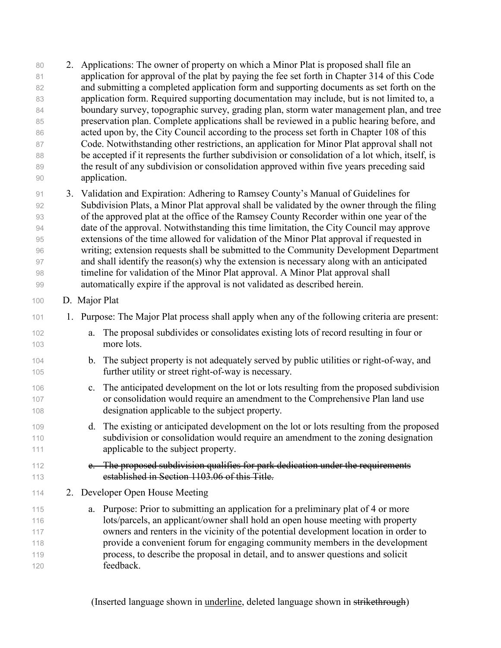2. Applications: The owner of property on which a Minor Plat is proposed shall file an application for approval of the plat by paying the fee set forth in Chapter 314 of this Code and submitting a completed application form and supporting documents as set forth on the application form. Required supporting documentation may include, but is not limited to, a boundary survey, topographic survey, grading plan, storm water management plan, and tree 85 preservation plan. Complete applications shall be reviewed in a public hearing before, and acted upon by, the City Council according to the process set forth in Chapter 108 of this 87 Code. Notwithstanding other restrictions, an application for Minor Plat approval shall not be accepted if it represents the further subdivision or consolidation of a lot which, itself, is 89 the result of any subdivision or consolidation approved within five years preceding said application. 3. Validation and Expiration: Adhering to Ramsey County's Manual of Guidelines for Subdivision Plats, a Minor Plat approval shall be validated by the owner through the filing of the approved plat at the office of the Ramsey County Recorder within one year of the

 date of the approval. Notwithstanding this time limitation, the City Council may approve extensions of the time allowed for validation of the Minor Plat approval if requested in writing; extension requests shall be submitted to the Community Development Department and shall identify the reason(s) why the extension is necessary along with an anticipated timeline for validation of the Minor Plat approval. A Minor Plat approval shall automatically expire if the approval is not validated as described herein.

## D. Major Plat

- 1. Purpose: The Major Plat process shall apply when any of the following criteria are present:
- a. The proposal subdivides or consolidates existing lots of record resulting in four or more lots.
- 104 b. The subject property is not adequately served by public utilities or right-of-way, and further utility or street right-of-way is necessary.
- c. The anticipated development on the lot or lots resulting from the proposed subdivision or consolidation would require an amendment to the Comprehensive Plan land use designation applicable to the subject property.
- d. The existing or anticipated development on the lot or lots resulting from the proposed subdivision or consolidation would require an amendment to the zoning designation applicable to the subject property.
- 112 e. The proposed subdivision qualifies for park dedication under the requirements established in Section 1103.06 of this Title.
- 2. Developer Open House Meeting
- a. Purpose: Prior to submitting an application for a preliminary plat of 4 or more lots/parcels, an applicant/owner shall hold an open house meeting with property owners and renters in the vicinity of the potential development location in order to provide a convenient forum for engaging community members in the development process, to describe the proposal in detail, and to answer questions and solicit feedback.

(Inserted language shown in underline, deleted language shown in strikethrough)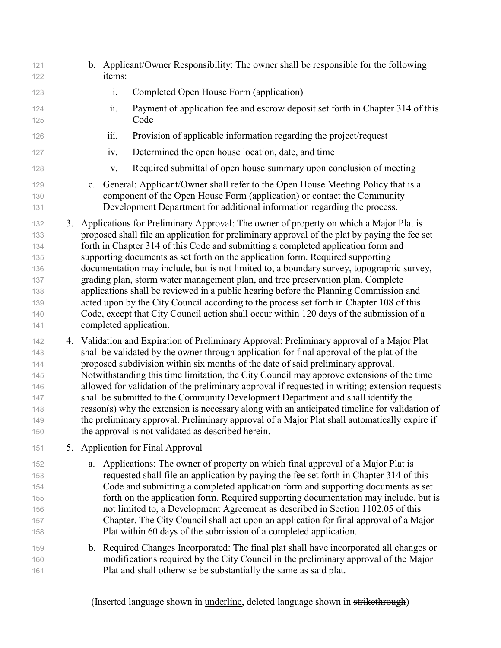b. Applicant/Owner Responsibility: The owner shall be responsible for the following items: i. Completed Open House Form (application) ii. Payment of application fee and escrow deposit set forth in Chapter 314 of this Code iii. Provision of applicable information regarding the project/request iv. Determined the open house location, date, and time v. Required submittal of open house summary upon conclusion of meeting c. General: Applicant/Owner shall refer to the Open House Meeting Policy that is a component of the Open House Form (application) or contact the Community Development Department for additional information regarding the process. 3. Applications for Preliminary Approval: The owner of property on which a Major Plat is proposed shall file an application for preliminary approval of the plat by paying the fee set forth in Chapter 314 of this Code and submitting a completed application form and supporting documents as set forth on the application form. Required supporting documentation may include, but is not limited to, a boundary survey, topographic survey, grading plan, storm water management plan, and tree preservation plan. Complete applications shall be reviewed in a public hearing before the Planning Commission and acted upon by the City Council according to the process set forth in Chapter 108 of this Code, except that City Council action shall occur within 120 days of the submission of a completed application. 4. Validation and Expiration of Preliminary Approval: Preliminary approval of a Major Plat shall be validated by the owner through application for final approval of the plat of the proposed subdivision within six months of the date of said preliminary approval. Notwithstanding this time limitation, the City Council may approve extensions of the time allowed for validation of the preliminary approval if requested in writing; extension requests shall be submitted to the Community Development Department and shall identify the reason(s) why the extension is necessary along with an anticipated timeline for validation of the preliminary approval. Preliminary approval of a Major Plat shall automatically expire if the approval is not validated as described herein. 5. Application for Final Approval a. Applications: The owner of property on which final approval of a Major Plat is requested shall file an application by paying the fee set forth in Chapter 314 of this Code and submitting a completed application form and supporting documents as set forth on the application form. Required supporting documentation may include, but is not limited to, a Development Agreement as described in Section 1102.05 of this Chapter. The City Council shall act upon an application for final approval of a Major Plat within 60 days of the submission of a completed application. b. Required Changes Incorporated: The final plat shall have incorporated all changes or modifications required by the City Council in the preliminary approval of the Major Plat and shall otherwise be substantially the same as said plat.